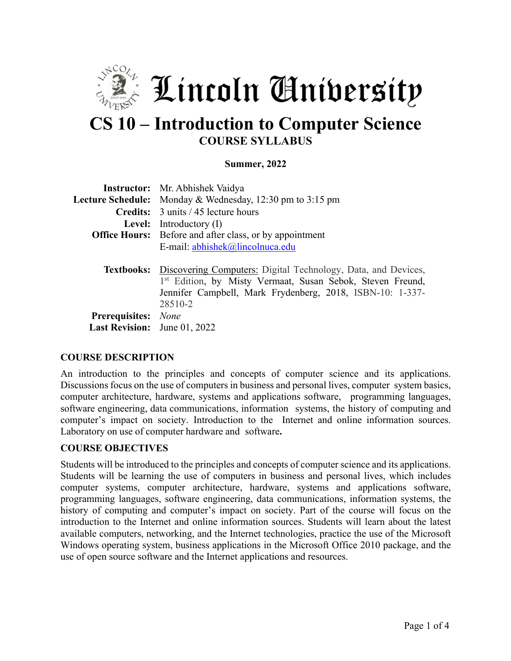

# **CS 10 – Introduction to Computer Science COURSE SYLLABUS**

#### **Summer, 2022**

|                                     | <b>Instructor:</b> Mr. Abhishek Vaidya                                                                                                                                                                     |  |  |  |
|-------------------------------------|------------------------------------------------------------------------------------------------------------------------------------------------------------------------------------------------------------|--|--|--|
|                                     | <b>Lecture Schedule:</b> Monday & Wednesday, 12:30 pm to 3:15 pm                                                                                                                                           |  |  |  |
|                                     | <b>Credits:</b> 3 units / 45 lecture hours                                                                                                                                                                 |  |  |  |
|                                     | <b>Level:</b> Introductory $(I)$                                                                                                                                                                           |  |  |  |
|                                     | <b>Office Hours:</b> Before and after class, or by appointment                                                                                                                                             |  |  |  |
|                                     | E-mail: abhishek@lincolnuca.edu                                                                                                                                                                            |  |  |  |
|                                     | <b>Textbooks:</b> Discovering Computers: Digital Technology, Data, and Devices,<br>1st Edition, by Misty Vermaat, Susan Sebok, Steven Freund,<br>Jennifer Campbell, Mark Frydenberg, 2018, ISBN-10: 1-337- |  |  |  |
|                                     | 28510-2                                                                                                                                                                                                    |  |  |  |
| Prerequisites: None                 |                                                                                                                                                                                                            |  |  |  |
| <b>Last Revision:</b> June 01, 2022 |                                                                                                                                                                                                            |  |  |  |

#### **COURSE DESCRIPTION**

An introduction to the principles and concepts of computer science and its applications. Discussions focus on the use of computers in business and personal lives, computer system basics, computer architecture, hardware, systems and applications software, programming languages, software engineering, data communications, information systems, the history of computing and computer's impact on society. Introduction to the Internet and online information sources. Laboratory on use of computer hardware and software**.**

#### **COURSE OBJECTIVES**

Students will be introduced to the principles and concepts of computer science and its applications. Students will be learning the use of computers in business and personal lives, which includes computer systems, computer architecture, hardware, systems and applications software, programming languages, software engineering, data communications, information systems, the history of computing and computer's impact on society. Part of the course will focus on the introduction to the Internet and online information sources. Students will learn about the latest available computers, networking, and the Internet technologies, practice the use of the Microsoft Windows operating system, business applications in the Microsoft Office 2010 package, and the use of open source software and the Internet applications and resources.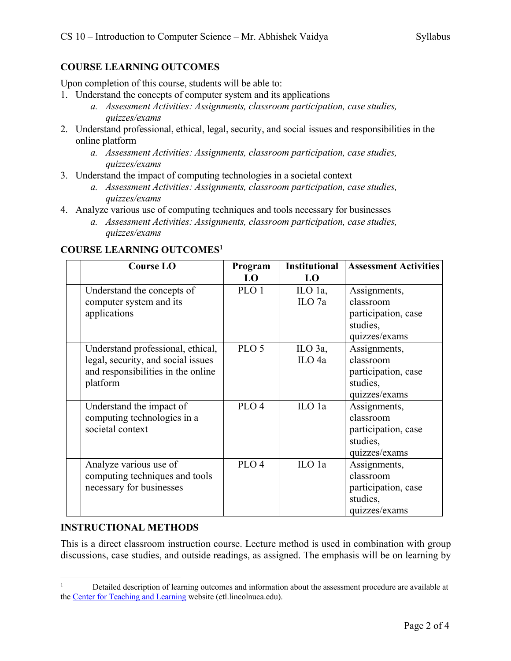# **COURSE LEARNING OUTCOMES**

Upon completion of this course, students will be able to:

- 1. Understand the concepts of computer system and its applications
	- *a. Assessment Activities: Assignments, classroom participation, case studies, quizzes/exams*
- 2. Understand professional, ethical, legal, security, and social issues and responsibilities in the online platform
	- *a. Assessment Activities: Assignments, classroom participation, case studies, quizzes/exams*
- 3. Understand the impact of computing technologies in a societal context
	- *a. Assessment Activities: Assignments, classroom participation, case studies, quizzes/exams*
- 4. Analyze various use of computing techniques and tools necessary for businesses
	- *a. Assessment Activities: Assignments, classroom participation, case studies, quizzes/exams*

# **COURSE LEARNING OUTCOMES1**

| <b>Course LO</b>                   | Program          | <b>Institutional</b> | <b>Assessment Activities</b> |
|------------------------------------|------------------|----------------------|------------------------------|
|                                    | L <sub>0</sub>   | LO                   |                              |
| Understand the concepts of         | PLO <sub>1</sub> | ILO 1a,              | Assignments,                 |
| computer system and its            |                  | ILO $7a$             | classroom                    |
| applications                       |                  |                      | participation, case          |
|                                    |                  |                      | studies,                     |
|                                    |                  |                      | quizzes/exams                |
| Understand professional, ethical,  | PLO <sub>5</sub> | $\mathbf{ILO}$ 3a,   | Assignments,                 |
| legal, security, and social issues |                  | ILO <sub>4a</sub>    | classroom                    |
| and responsibilities in the online |                  |                      | participation, case          |
| platform                           |                  |                      | studies,                     |
|                                    |                  |                      | quizzes/exams                |
| Understand the impact of           | PLO <sub>4</sub> | ILO 1a               | Assignments,                 |
| computing technologies in a        |                  |                      | classroom                    |
| societal context                   |                  |                      | participation, case          |
|                                    |                  |                      | studies,                     |
|                                    |                  |                      | quizzes/exams                |
| Analyze various use of             | PLO <sub>4</sub> | ILO 1a               | Assignments,                 |
| computing techniques and tools     |                  |                      | classroom                    |
| necessary for businesses           |                  |                      | participation, case          |
|                                    |                  |                      | studies,                     |
|                                    |                  |                      | quizzes/exams                |

# **INSTRUCTIONAL METHODS**

This is a direct classroom instruction course. Lecture method is used in combination with group discussions, case studies, and outside readings, as assigned. The emphasis will be on learning by

<sup>&</sup>lt;sup>1</sup> Detailed description of learning outcomes and information about the assessment procedure are available at the Center for Teaching and Learning website (ctl.lincolnuca.edu).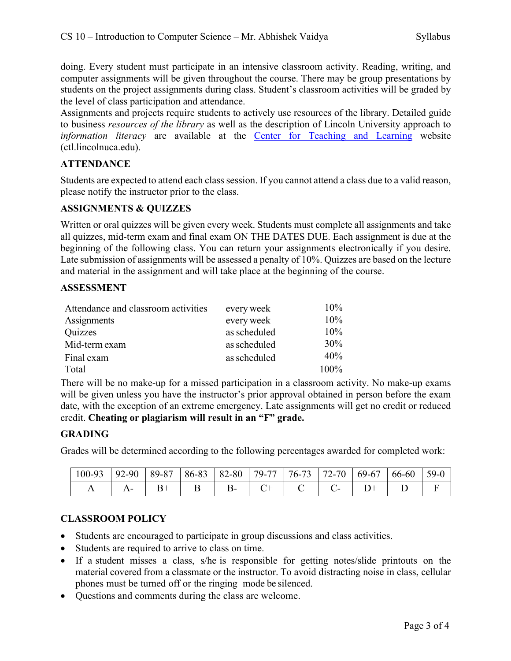doing. Every student must participate in an intensive classroom activity. Reading, writing, and computer assignments will be given throughout the course. There may be group presentations by students on the project assignments during class. Student's classroom activities will be graded by the level of class participation and attendance.

Assignments and projects require students to actively use resources of the library. Detailed guide to business *resources of the library* as well as the description of Lincoln University approach to *information literacy* are available at the Center for Teaching and Learning website (ctl.lincolnuca.edu).

# **ATTENDANCE**

Students are expected to attend each class session. If you cannot attend a class due to a valid reason, please notify the instructor prior to the class.

# **ASSIGNMENTS & QUIZZES**

Written or oral quizzes will be given every week. Students must complete all assignments and take all quizzes, mid-term exam and final exam ON THE DATES DUE. Each assignment is due at the beginning of the following class. You can return your assignments electronically if you desire. Late submission of assignments will be assessed a penalty of 10%. Quizzes are based on the lecture and material in the assignment and will take place at the beginning of the course.

## **ASSESSMENT**

| Attendance and classroom activities | every week   | $10\%$  |
|-------------------------------------|--------------|---------|
| Assignments                         | every week   | 10%     |
| Quizzes                             | as scheduled | 10%     |
| Mid-term exam                       | as scheduled | 30%     |
| Final exam                          | as scheduled | 40%     |
| Total                               |              | $100\%$ |

There will be no make-up for a missed participation in a classroom activity. No make-up exams will be given unless you have the instructor's prior approval obtained in person before the exam date, with the exception of an extreme emergency. Late assignments will get no credit or reduced credit. **Cheating or plagiarism will result in an "F" grade.**

# **GRADING**

Grades will be determined according to the following percentages awarded for completed work:

| $100 - 93$ | $92 - 90$ | $89 - 87$ | 86-83 | 82-80     | 79-77 | $176-73$ | .70<br>$72-$ | 69-67 | 66-60 | $59-0$ |
|------------|-----------|-----------|-------|-----------|-------|----------|--------------|-------|-------|--------|
|            |           |           |       | <u>о-</u> |       |          |              |       |       |        |

# **CLASSROOM POLICY**

- Students are encouraged to participate in group discussions and class activities.
- Students are required to arrive to class on time.
- If a student misses a class, s/he is responsible for getting notes/slide printouts on the material covered from a classmate or the instructor. To avoid distracting noise in class, cellular phones must be turned off or the ringing mode be silenced.
- Questions and comments during the class are welcome.